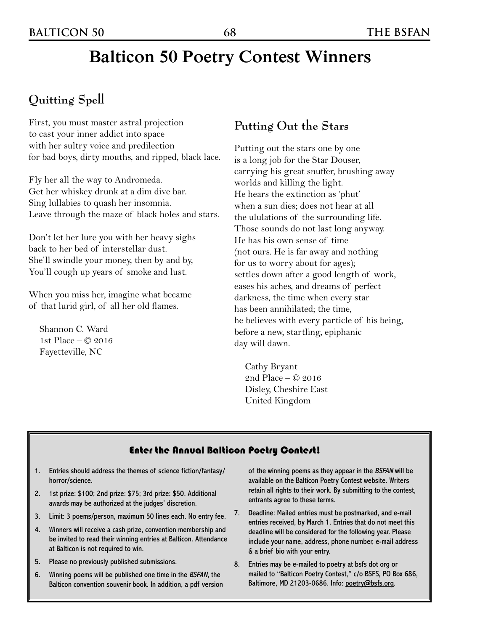## **Balticon 50 Poetry Contest Winners**

## **Quitting Spell**

First, you must master astral projection to cast your inner addict into space with her sultry voice and predilection for bad boys, dirty mouths, and ripped, black lace.

Fly her all the way to Andromeda. Get her whiskey drunk at a dim dive bar. Sing lullabies to quash her insomnia. Leave through the maze of black holes and stars.

Don't let her lure you with her heavy sighs back to her bed of interstellar dust. She'll swindle your money, then by and by, You'll cough up years of smoke and lust.

When you miss her, imagine what became of that lurid girl, of all her old flames.

Shannon C. Ward 1st Place – © 2016 Fayetteville, NC

### **Putting Out the Stars**

Putting out the stars one by one is a long job for the Star Douser, carrying his great snuffer, brushing away worlds and killing the light. He hears the extinction as 'phut' when a sun dies; does not hear at all the ululations of the surrounding life. Those sounds do not last long anyway. He has his own sense of time (not ours. He is far away and nothing for us to worry about for ages); settles down after a good length of work, eases his aches, and dreams of perfect darkness, the time when every star has been annihilated; the time, he believes with every particle of his being, before a new, startling, epiphanic day will dawn.

Cathy Bryant 2nd Place – © 2016 Disley, Cheshire East United Kingdom

#### Enter the Annual Balticon Poetry Contest!

- 1. Entries should address the themes of science fiction/fantasy/ horror/science.
- 2. 1st prize: \$100; 2nd prize: \$75; 3rd prize: \$50. Additional awards may be authorized at the judges' discretion.
- 3. Limit: 3 poems/person, maximum 50 lines each. No entry fee.
- 4. Winners will receive a cash prize, convention membership and be invited to read their winning entries at Balticon. Attendance at Balticon is not required to win.
- 5. Please no previously published submissions.
- 6. Winning poems will be published one time in the BSFAN, the Balticon convention souvenir book. In addition, a pdf version

of the winning poems as they appear in the BSFAN will be available on the Balticon Poetry Contest website. Writers retain all rights to their work. By submitting to the contest, entrants agree to these terms.

- 7. Deadline: Mailed entries must be postmarked, and e-mail entries received, by March 1. Entries that do not meet this deadline will be considered for the following year. Please include your name, address, phone number, e-mail address & a brief bio with your entry.
- 8. Entries may be e-mailed to poetry at bsfs dot org or mailed to "Balticon Poetry Contest," c/o BSFS, PO Box 686, Baltimore, MD 21203-0686. Info: <u>poetry@bsfs.org</u>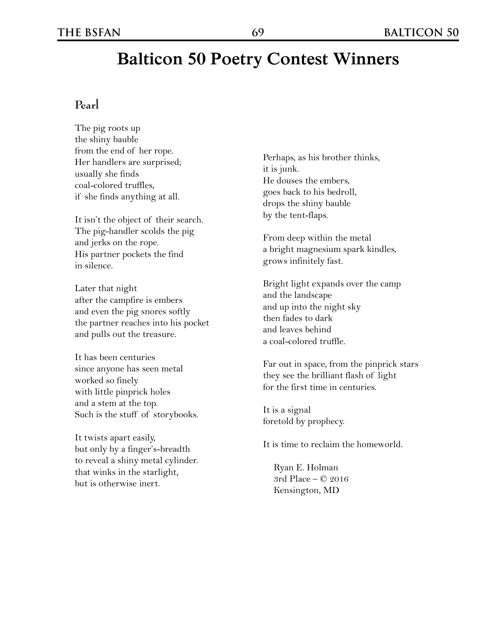#### **Pearl**

The pig roots up the shiny bauble from the end of her rope. Her handlers are surprised; usually she finds coal-colored truffles, if she finds anything at all.

It isn't the object of their search. The pig-handler scolds the pig and jerks on the rope. His partner pockets the find in silence.

Later that night after the campfire is embers and even the pig snores softly the partner reaches into his pocket and pulls out the treasure.

It has been centuries since anyone has seen metal worked so finely with little pinprick holes and a stem at the top. Such is the stuff of storybooks.

It twists apart easily, but only by a finger's-breadth to reveal a shiny metal cylinder. that winks in the starlight, but is otherwise inert.

Perhaps, as his brother thinks, it is junk. He douses the embers, goes back to his bedroll, drops the shiny bauble by the tent-flaps.

From deep within the metal a bright magnesium spark kindles, grows infinitely fast.

Bright light expands over the camp and the landscape and up into the night sky then fades to dark and leaves behind a coal-colored truffle.

Far out in space, from the pinprick stars they see the brilliant flash of light for the first time in centuries.

It is a signal foretold by prophecy.

It is time to reclaim the homeworld.

Ryan E. Holman 3rd Place – © 2016 Kensington, MD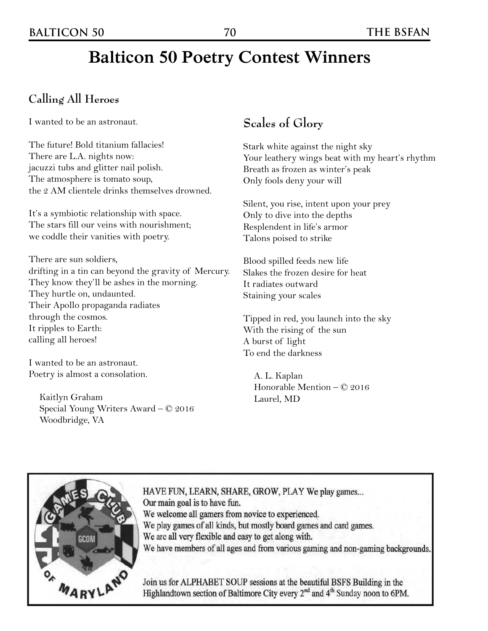# **Balticon 50 Poetry Contest Winners**

### **Calling All Heroes**

I wanted to be an astronaut.

The future! Bold titanium fallacies! There are L.A. nights now: jacuzzi tubs and glitter nail polish. The atmosphere is tomato soup, the 2 AM clientele drinks themselves drowned.

It's a symbiotic relationship with space. The stars fill our veins with nourishment; we coddle their vanities with poetry.

There are sun soldiers, drifting in a tin can beyond the gravity of Mercury. They know they'll be ashes in the morning. They hurtle on, undaunted. Their Apollo propaganda radiates through the cosmos. It ripples to Earth: calling all heroes!

I wanted to be an astronaut. Poetry is almost a consolation.

Kaitlyn Graham Special Young Writers Award – © 2016 Woodbridge, VA

## **Scales of Glory**

Stark white against the night sky Your leathery wings beat with my heart's rhythm Breath as frozen as winter's peak Only fools deny your will

Silent, you rise, intent upon your prey Only to dive into the depths Resplendent in life's armor Talons poised to strike

Blood spilled feeds new life Slakes the frozen desire for heat It radiates outward Staining your scales

Tipped in red, you launch into the sky With the rising of the sun A burst of light To end the darkness

A. L. Kaplan Honorable Mention – © 2016 Laurel, MD



HAVE FUN, LEARN, SHARE, GROW, PLAY We play games... Our main goal is to have fun. We welcome all gamers from novice to experienced. We play games of all kinds, but mostly board games and card games. We are all very flexible and easy to get along with. We have members of all ages and from various gaming and non-gaming backgrounds.

Join us for ALPHABET SOUP sessions at the beautiful BSFS Building in the Highlandtown section of Baltimore City every 2<sup>nd</sup> and 4<sup>th</sup> Sunday noon to 6PM.